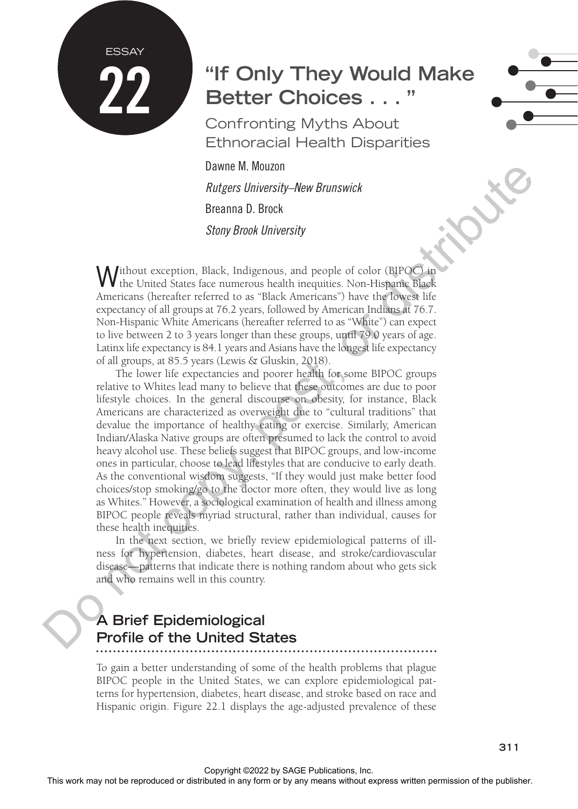# **"If Only They Would Make Better Choices ...**

Confronting Myths About Ethnoracial Health Disparities

Dawne M. Mouzon *Rutgers University–New Brunswick* Breanna D. Brock *Stony Brook University*

**ESSAY** 

22

Without exception, Black, Indigenous, and people of color (BIPOC) in the United States face numerous health inequities. Non-Hispanic Black Americans (hereafter referred to as "Black Americans") have the lowest life expectancy of all groups at 76.2 years, followed by American Indians at 76.7. Non-Hispanic White Americans (hereafter referred to as "White") can expect to live between 2 to 3 years longer than these groups, until 79.0 years of age. Latinx life expectancy is 84.1 years and Asians have the longest life expectancy of all groups, at 85.5 years (Lewis & Gluskin, 2018).

The lower life expectancies and poorer health for some BIPOC groups relative to Whites lead many to believe that these outcomes are due to poor lifestyle choices. In the general discourse on obesity, for instance, Black Americans are characterized as overweight due to "cultural traditions" that devalue the importance of healthy eating or exercise. Similarly, American Indian/Alaska Native groups are often presumed to lack the control to avoid heavy alcohol use. These beliefs suggest that BIPOC groups, and low-income ones in particular, choose to lead lifestyles that are conducive to early death. As the conventional wisdom suggests, "If they would just make better food choices/stop smoking/go to the doctor more often, they would live as long as Whites." However, a sociological examination of health and illness among BIPOC people reveals myriad structural, rather than individual, causes for these health inequities. Decrease the Rock may not be reproduced or distributed in any form or by any means with the comparison or the reproduced or the reproduced in any form or by any form or by any form or by any means we consider the publishe

In the next section, we briefly review epidemiological patterns of illness for hypertension, diabetes, heart disease, and stroke/cardiovascular disease—patterns that indicate there is nothing random about who gets sick and who remains well in this country.

## **A Brief Epidemiological Profile of the United States**

To gain a better understanding of some of the health problems that plague BIPOC people in the United States, we can explore epidemiological patterns for hypertension, diabetes, heart disease, and stroke based on race and Hispanic origin. Figure 22.1 displays the age-adjusted prevalence of these

**311**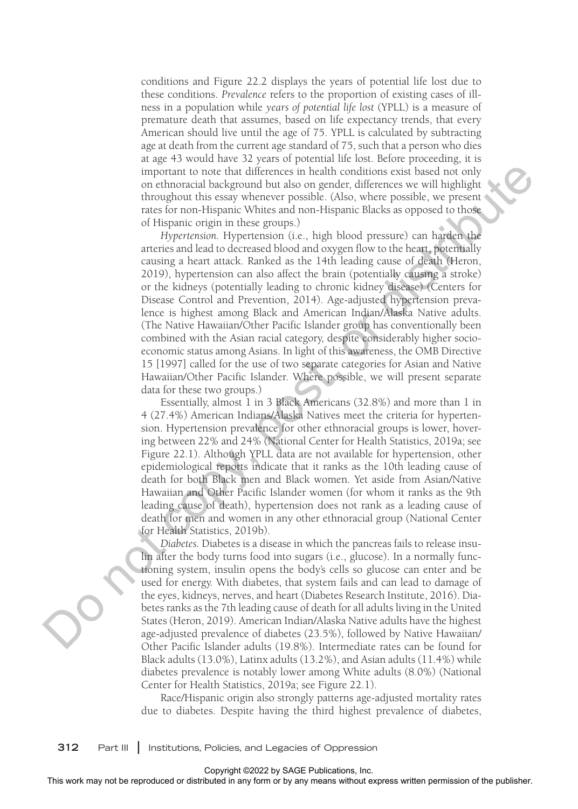conditions and Figure 22.2 displays the years of potential life lost due to these conditions. *Prevalence* refers to the proportion of existing cases of illness in a population while *years of potential life lost* (YPLL) is a measure of premature death that assumes, based on life expectancy trends, that every American should live until the age of 75. YPLL is calculated by subtracting age at death from the current age standard of 75, such that a person who dies at age 43 would have 32 years of potential life lost. Before proceeding, it is important to note that differences in health conditions exist based not only on ethnoracial background but also on gender, differences we will highlight throughout this essay whenever possible. (Also, where possible, we present rates for non-Hispanic Whites and non-Hispanic Blacks as opposed to those of Hispanic origin in these groups.)

*Hypertension.* Hypertension (i.e., high blood pressure) can harden the arteries and lead to decreased blood and oxygen flow to the heart, potentially causing a heart attack. Ranked as the 14th leading cause of death (Heron, 2019), hypertension can also affect the brain (potentially causing a stroke) or the kidneys (potentially leading to chronic kidney disease) (Centers for Disease Control and Prevention, 2014). Age-adjusted hypertension prevalence is highest among Black and American Indian/Alaska Native adults. (The Native Hawaiian/Other Pacific Islander group has conventionally been combined with the Asian racial category, despite considerably higher socioeconomic status among Asians. In light of this awareness, the OMB Directive 15 [1997] called for the use of two separate categories for Asian and Native Hawaiian/Other Pacific Islander. Where possible, we will present separate data for these two groups.) mpoints to reach the reproduce relation or the reproduced or distributed in any form or by any when the results with the station of the publisher and the publisher and the publisher. This were the publisher and the publis

Essentially, almost 1 in 3 Black Americans (32.8%) and more than 1 in 4 (27.4%) American Indians/Alaska Natives meet the criteria for hypertension. Hypertension prevalence for other ethnoracial groups is lower, hovering between 22% and 24% (National Center for Health Statistics, 2019a; see Figure 22.1). Although YPLL data are not available for hypertension, other epidemiological reports indicate that it ranks as the 10th leading cause of death for both Black men and Black women. Yet aside from Asian/Native Hawaiian and Other Pacific Islander women (for whom it ranks as the 9th leading cause of death), hypertension does not rank as a leading cause of death for men and women in any other ethnoracial group (National Center for Health Statistics, 2019b).

*Diabetes.* Diabetes is a disease in which the pancreas fails to release insulin after the body turns food into sugars (i.e., glucose). In a normally functioning system, insulin opens the body's cells so glucose can enter and be used for energy. With diabetes, that system fails and can lead to damage of the eyes, kidneys, nerves, and heart (Diabetes Research Institute, 2016). Diabetes ranks as the 7th leading cause of death for all adults living in the United States (Heron, 2019). American Indian/Alaska Native adults have the highest age-adjusted prevalence of diabetes (23.5%), followed by Native Hawaiian/ Other Pacific Islander adults (19.8%). Intermediate rates can be found for Black adults (13.0%), Latinx adults (13.2%), and Asian adults (11.4%) while diabetes prevalence is notably lower among White adults (8.0%) (National Center for Health Statistics, 2019a; see Figure 22.1).

Race/Hispanic origin also strongly patterns age-adjusted mortality rates due to diabetes. Despite having the third highest prevalence of diabetes,

**312** Part III **|** Institutions, Policies, and Legacies of Oppression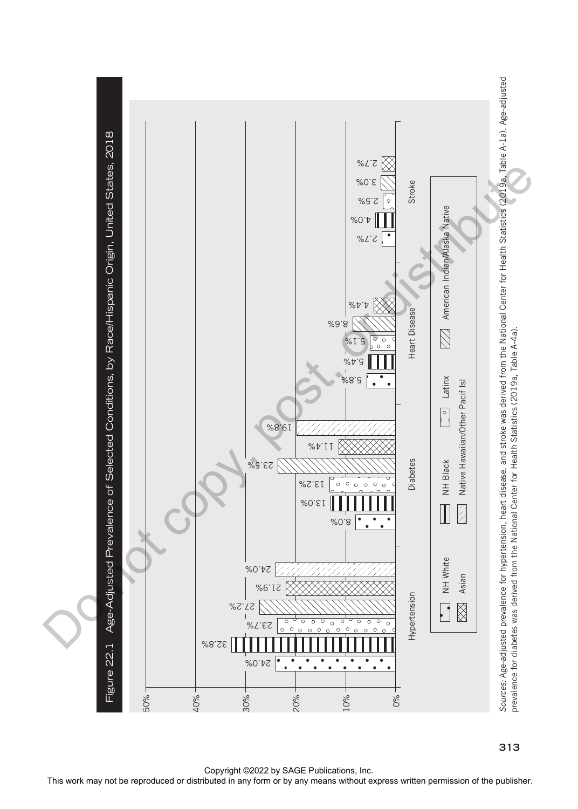

**313**

Copyright ©2022 by SAGE Publications, Inc.<br>This work may not be reproduced or distributed in any form or by any means without express written permission of the publisher.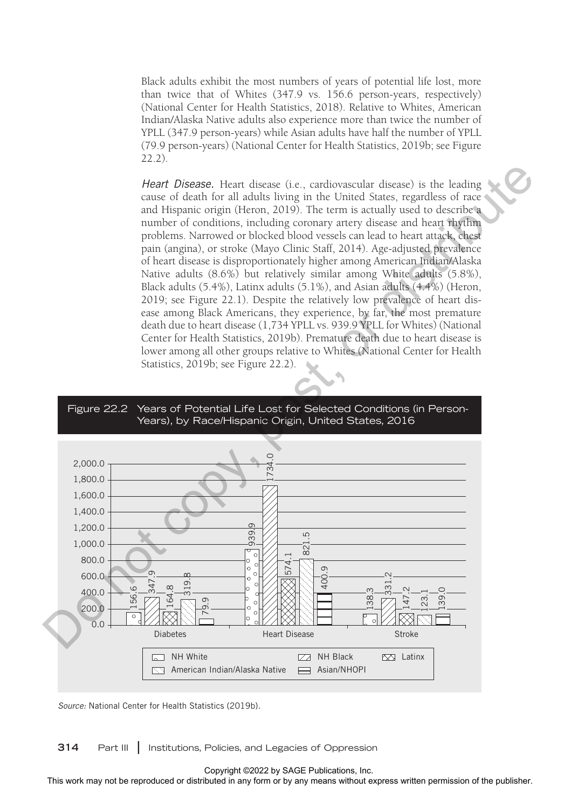Black adults exhibit the most numbers of years of potential life lost, more than twice that of Whites (347.9 vs. 156.6 person-years, respectively) (National Center for Health Statistics, 2018). Relative to Whites, American Indian/Alaska Native adults also experience more than twice the number of YPLL (347.9 person-years) while Asian adults have half the number of YPLL (79.9 person-years) (National Center for Health Statistics, 2019b; see Figure 22.2).

*Heart Disease.* Heart disease (i.e., cardiovascular disease) is the leading cause of death for all adults living in the United States, regardless of race and Hispanic origin (Heron, 2019). The term is actually used to describe a number of conditions, including coronary artery disease and heart rhythm problems. Narrowed or blocked blood vessels can lead to heart attack, chest pain (angina), or stroke (Mayo Clinic Staff, 2014). Age-adjusted prevalence of heart disease is disproportionately higher among American Indian/Alaska Native adults (8.6%) but relatively similar among White adults (5.8%), Black adults (5.4%), Latinx adults (5.1%), and Asian adults (4.4%) (Heron, 2019; see Figure 22.1). Despite the relatively low prevalence of heart disease among Black Americans, they experience, by far, the most premature death due to heart disease (1,734 YPLL vs. 939.9 YPLL for Whites) (National Center for Health Statistics, 2019b). Premature death due to heart disease is lower among all other groups relative to Whites (National Center for Health Statistics, 2019b; see Figure 22.2).





*Source:* National Center for Health Statistics (2019b).

**314** Part III **|** Institutions, Policies, and Legacies of Oppression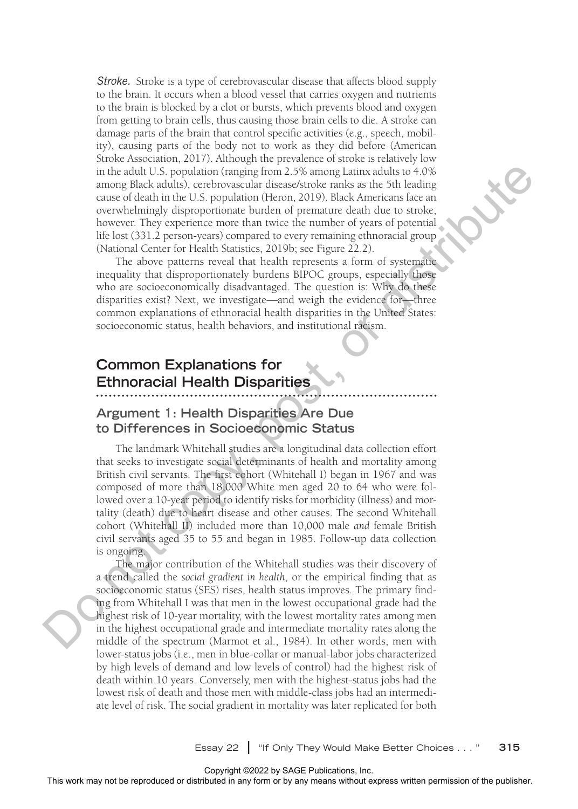*Stroke.* Stroke is a type of cerebrovascular disease that affects blood supply to the brain. It occurs when a blood vessel that carries oxygen and nutrients to the brain is blocked by a clot or bursts, which prevents blood and oxygen from getting to brain cells, thus causing those brain cells to die. A stroke can damage parts of the brain that control specific activities (e.g., speech, mobility), causing parts of the body not to work as they did before (American Stroke Association, 2017). Although the prevalence of stroke is relatively low in the adult U.S. population (ranging from 2.5% among Latinx adults to 4.0% among Black adults), cerebrovascular disease/stroke ranks as the 5th leading cause of death in the U.S. population (Heron, 2019). Black Americans face an overwhelmingly disproportionate burden of premature death due to stroke, however. They experience more than twice the number of years of potential life lost (331.2 person-years) compared to every remaining ethnoracial group (National Center for Health Statistics, 2019b; see Figure 22.2).

The above patterns reveal that health represents a form of systematic inequality that disproportionately burdens BIPOC groups, especially those who are socioeconomically disadvantaged. The question is: Why do these disparities exist? Next, we investigate—and weigh the evidence for—three common explanations of ethnoracial health disparities in the United States: socioeconomic status, health behaviors, and institutional racism.

### **Common Explanations for Ethnoracial Health Disparities**

#### **Argument 1: Health Disparities Are Due to Differences in Socioeconomic Status**

The landmark Whitehall studies are a longitudinal data collection effort that seeks to investigate social determinants of health and mortality among British civil servants. The first cohort (Whitehall I) began in 1967 and was composed of more than 18,000 White men aged 20 to 64 who were followed over a 10-year period to identify risks for morbidity (illness) and mortality (death) due to heart disease and other causes. The second Whitehall cohort (Whitehall II) included more than 10,000 male *and* female British civil servants aged 35 to 55 and began in 1985. Follow-up data collection is ongoing.

The major contribution of the Whitehall studies was their discovery of a trend called the *social gradient in health*, or the empirical finding that as socioeconomic status (SES) rises, health status improves. The primary finding from Whitehall I was that men in the lowest occupational grade had the highest risk of 10-year mortality, with the lowest mortality rates among men in the highest occupational grade and intermediate mortality rates along the middle of the spectrum (Marmot et al., 1984). In other words, men with lower-status jobs (i.e., men in blue-collar or manual-labor jobs characterized by high levels of demand and low levels of control) had the highest risk of death within 10 years. Conversely, men with the highest-status jobs had the lowest risk of death and those men with middle-class jobs had an intermediate level of risk. The social gradient in mortality was later replicated for both From the reproduced or distributed in any form of the reproduced or distributed in a may be reproduced to the reproduced or distributed in a state for the reproduced in any means of expression of the publisher. This were

Essay 22 **|** "If Only They Would Make Better Choices . . . " **315**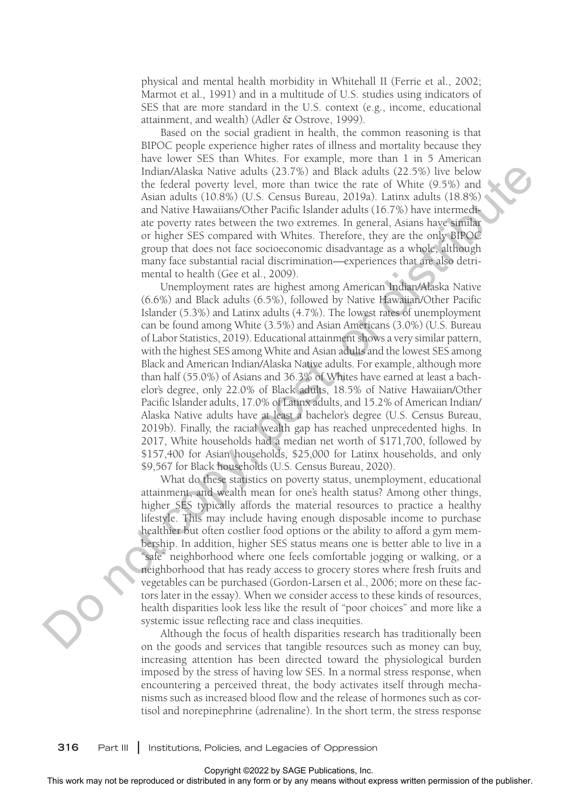physical and mental health morbidity in Whitehall II (Ferrie et al., 2002; Marmot et al., 1991) and in a multitude of U.S. studies using indicators of SES that are more standard in the U.S. context (e.g., income, educational attainment, and wealth) (Adler & Ostrove, 1999).

Based on the social gradient in health, the common reasoning is that BIPOC people experience higher rates of illness and mortality because they have lower SES than Whites. For example, more than 1 in 5 American Indian/Alaska Native adults (23.7%) and Black adults (22.5%) live below the federal poverty level, more than twice the rate of White (9.5%) and Asian adults (10.8%) (U.S. Census Bureau, 2019a). Latinx adults (18.8%) and Native Hawaiians/Other Pacific Islander adults (16.7%) have intermediate poverty rates between the two extremes. In general, Asians have similar or higher SES compared with Whites. Therefore, they are the only BIPOC group that does not face socioeconomic disadvantage as a whole, although many face substantial racial discrimination—experiences that are also detrimental to health (Gee et al., 2009).

Unemployment rates are highest among American Indian/Alaska Native (6.6%) and Black adults (6.5%), followed by Native Hawaiian/Other Pacific Islander (5.3%) and Latinx adults (4.7%). The lowest rates of unemployment can be found among White (3.5%) and Asian Americans (3.0%) (U.S. Bureau of Labor Statistics, 2019). Educational attainment shows a very similar pattern, with the highest SES among White and Asian adults and the lowest SES among Black and American Indian/Alaska Native adults. For example, although more than half (55.0%) of Asians and 36.3% of Whites have earned at least a bachelor's degree, only 22.0% of Black adults, 18.5% of Native Hawaiian/Other Pacific Islander adults, 17.0% of Latinx adults, and 15.2% of American Indian/ Alaska Native adults have at least a bachelor's degree (U.S. Census Bureau, 2019b). Finally, the racial wealth gap has reached unprecedented highs. In 2017, White households had a median net worth of \$171,700, followed by \$157,400 for Asian households, \$25,000 for Latinx households, and only \$9,567 for Black households (U.S. Census Bureau, 2020). Head with local way not be reproduced or distributed in any fittibuted in any form or between a state or distributed in any means when a state of the publisher and the publisher and the publisher and the publisher and t

What do these statistics on poverty status, unemployment, educational attainment, and wealth mean for one's health status? Among other things, higher SES typically affords the material resources to practice a healthy lifestyle. This may include having enough disposable income to purchase healthier but often costlier food options or the ability to afford a gym membership. In addition, higher SES status means one is better able to live in a "safe" neighborhood where one feels comfortable jogging or walking, or a neighborhood that has ready access to grocery stores where fresh fruits and vegetables can be purchased (Gordon-Larsen et al., 2006; more on these factors later in the essay). When we consider access to these kinds of resources, health disparities look less like the result of "poor choices" and more like a systemic issue reflecting race and class inequities.

Although the focus of health disparities research has traditionally been on the goods and services that tangible resources such as money can buy, increasing attention has been directed toward the physiological burden imposed by the stress of having low SES. In a normal stress response, when encountering a perceived threat, the body activates itself through mechanisms such as increased blood flow and the release of hormones such as cortisol and norepinephrine (adrenaline). In the short term, the stress response

**316** Part III **|** Institutions, Policies, and Legacies of Oppression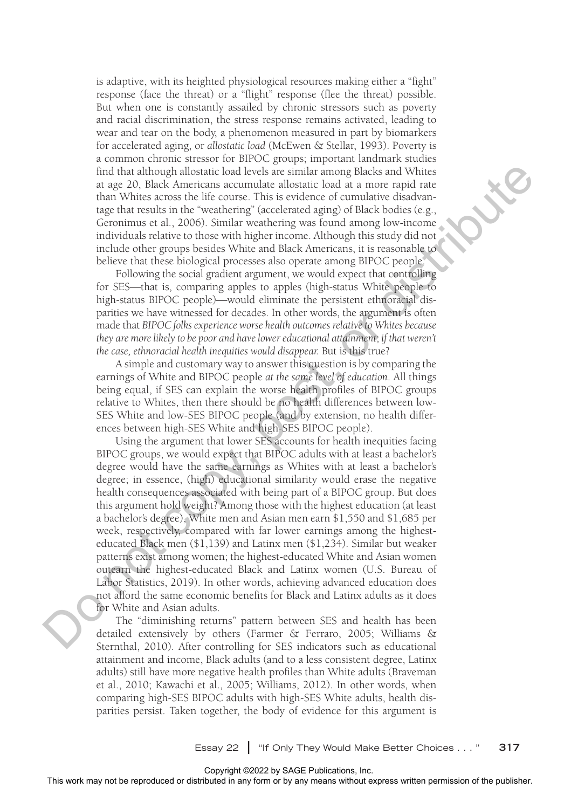is adaptive, with its heighted physiological resources making either a "fight" response (face the threat) or a "flight" response (flee the threat) possible. But when one is constantly assailed by chronic stressors such as poverty and racial discrimination, the stress response remains activated, leading to wear and tear on the body, a phenomenon measured in part by biomarkers for accelerated aging, or *allostatic load* (McEwen & Stellar, 1993). Poverty is a common chronic stressor for BIPOC groups; important landmark studies find that although allostatic load levels are similar among Blacks and Whites at age 20, Black Americans accumulate allostatic load at a more rapid rate than Whites across the life course. This is evidence of cumulative disadvantage that results in the "weathering" (accelerated aging) of Black bodies (e.g., Geronimus et al., 2006). Similar weathering was found among low-income individuals relative to those with higher income. Although this study did not include other groups besides White and Black Americans, it is reasonable to believe that these biological processes also operate among BIPOC people.

Following the social gradient argument, we would expect that controlling for SES—that is, comparing apples to apples (high-status White people to high-status BIPOC people)—would eliminate the persistent ethnoracial disparities we have witnessed for decades. In other words, the argument is often made that *BIPOC folks experience worse health outcomes relative to Whites because they are more likely to be poor and have lower educational attainment*; *if that weren't the case, ethnoracial health inequities would disappear.* But is this true?

A simple and customary way to answer this question is by comparing the earnings of White and BIPOC people *at the same level of education*. All things being equal, if SES can explain the worse health profiles of BIPOC groups relative to Whites, then there should be no health differences between low-SES White and low-SES BIPOC people (and by extension, no health differences between high-SES White and high-SES BIPOC people).

Using the argument that lower SES accounts for health inequities facing BIPOC groups, we would expect that BIPOC adults with at least a bachelor's degree would have the same earnings as Whites with at least a bachelor's degree; in essence, (high) educational similarity would erase the negative health consequences associated with being part of a BIPOC group. But does this argument hold weight? Among those with the highest education (at least a bachelor's degree), White men and Asian men earn \$1,550 and \$1,685 per week, respectively, compared with far lower earnings among the highesteducated Black men (\$1,139) and Latinx men (\$1,234). Similar but weaker patterns exist among women; the highest-educated White and Asian women outearn the highest-educated Black and Latinx women (U.S. Bureau of Labor Statistics, 2019). In other words, achieving advanced education does not afford the same economic benefits for Black and Latinx adults as it does for White and Asian adults. For the rest in the rest in the rest in the result of the results and Whether any form or the results of the results of the results of the results of the results of the results of the publisher. The control of the publish

The "diminishing returns" pattern between SES and health has been detailed extensively by others (Farmer & Ferraro, 2005; Williams & Sternthal, 2010). After controlling for SES indicators such as educational attainment and income, Black adults (and to a less consistent degree, Latinx adults) still have more negative health profiles than White adults (Braveman et al., 2010; Kawachi et al., 2005; Williams, 2012). In other words, when comparing high-SES BIPOC adults with high-SES White adults, health disparities persist. Taken together, the body of evidence for this argument is

Essay 22 **|** "If Only They Would Make Better Choices . . . " **317**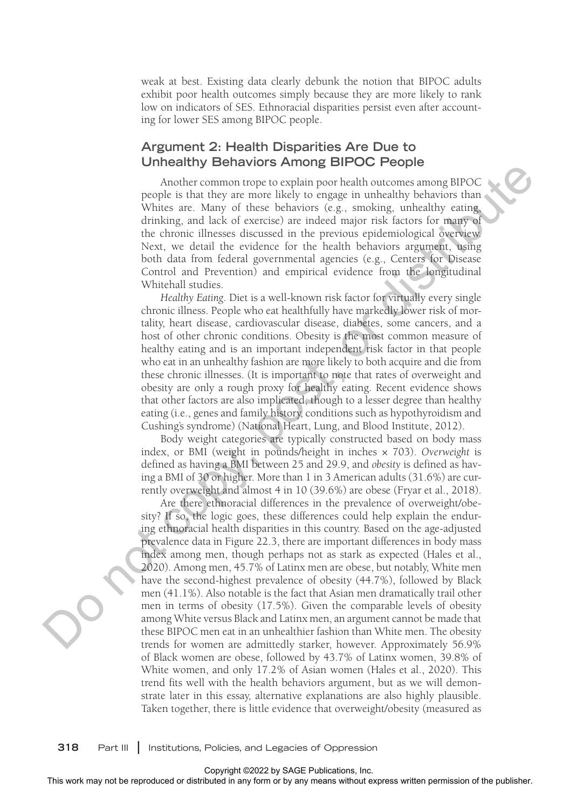weak at best. Existing data clearly debunk the notion that BIPOC adults exhibit poor health outcomes simply because they are more likely to rank low on indicators of SES. Ethnoracial disparities persist even after accounting for lower SES among BIPOC people.

#### **Argument 2: Health Disparities Are Due to Unhealthy Behaviors Among BIPOC People**

Another common trope to explain poor health outcomes among BIPOC people is that they are more likely to engage in unhealthy behaviors than Whites are. Many of these behaviors (e.g., smoking, unhealthy eating, drinking, and lack of exercise) are indeed major risk factors for many of the chronic illnesses discussed in the previous epidemiological overview. Next, we detail the evidence for the health behaviors argument, using both data from federal governmental agencies (e.g., Centers for Disease Control and Prevention) and empirical evidence from the longitudinal Whitehall studies.

*Healthy Eating*. Diet is a well-known risk factor for virtually every single chronic illness. People who eat healthfully have markedly lower risk of mortality, heart disease, cardiovascular disease, diabetes, some cancers, and a host of other chronic conditions. Obesity is the most common measure of healthy eating and is an important independent risk factor in that people who eat in an unhealthy fashion are more likely to both acquire and die from these chronic illnesses. (It is important to note that rates of overweight and obesity are only a rough proxy for healthy eating. Recent evidence shows that other factors are also implicated, though to a lesser degree than healthy eating (i.e., genes and family history, conditions such as hypothyroidism and Cushing's syndrome) (National Heart, Lung, and Blood Institute, 2012).

Body weight categories are typically constructed based on body mass index, or BMI (weight in pounds/height in inches × 703). *Overweight* is defined as having a BMI between 25 and 29.9, and *obesity* is defined as having a BMI of 30 or higher. More than 1 in 3 American adults (31.6%) are currently overweight and almost 4 in 10 (39.6%) are obese (Fryar et al., 2018).

Are there ethnoracial differences in the prevalence of overweight/obesity? If so, the logic goes, these differences could help explain the enduring ethnoracial health disparities in this country. Based on the age-adjusted prevalence data in Figure 22.3, there are important differences in body mass index among men, though perhaps not as stark as expected (Hales et al., 2020). Among men, 45.7% of Latinx men are obese, but notably, White men have the second-highest prevalence of obesity (44.7%), followed by Black men (41.1%). Also notable is the fact that Asian men dramatically trail other men in terms of obesity (17.5%). Given the comparable levels of obesity among White versus Black and Latinx men, an argument cannot be made that these BIPOC men eat in an unhealthier fashion than White men. The obesity trends for women are admittedly starker, however. Approximately 56.9% of Black women are obese, followed by 43.7% of Latinx women, 39.8% of White women, and only 17.2% of Asian women (Hales et al., 2020). This trend fits well with the health behaviors argument, but as we will demonstrate later in this essay, alternative explanations are also highly plausible. Taken together, there is little evidence that overweight/obesity (measured as The control of the reproduced or distributed or distributed or distributed in the relative state of the relative state in the projection of the publisher or distributed in the projection of the publisher. Next, we detail

**318** Part III **|** Institutions, Policies, and Legacies of Oppression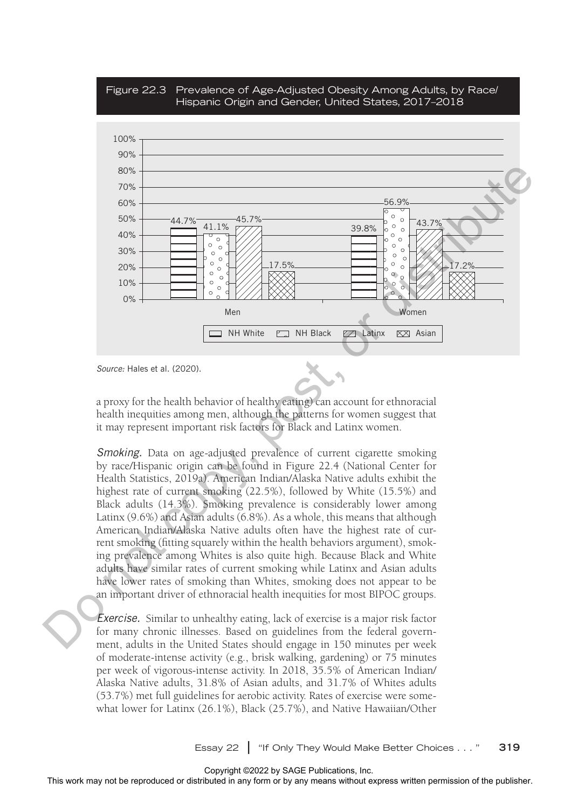



*Source:* Hales et al. (2020).

a proxy for the health behavior of healthy eating) can account for ethnoracial health inequities among men, although the patterns for women suggest that it may represent important risk factors for Black and Latinx women.

*Smoking.* Data on age-adjusted prevalence of current cigarette smoking by race/Hispanic origin can be found in Figure 22.4 (National Center for Health Statistics, 2019a). American Indian/Alaska Native adults exhibit the highest rate of current smoking (22.5%), followed by White (15.5%) and Black adults (14.3%). Smoking prevalence is considerably lower among Latinx (9.6%) and Asian adults (6.8%). As a whole, this means that although American Indian/Alaska Native adults often have the highest rate of current smoking (fitting squarely within the health behaviors argument), smoking prevalence among Whites is also quite high. Because Black and White adults have similar rates of current smoking while Latinx and Asian adults have lower rates of smoking than Whites, smoking does not appear to be an important driver of ethnoracial health inequities for most BIPOC groups.

*Exercise.* Similar to unhealthy eating, lack of exercise is a major risk factor for many chronic illnesses. Based on guidelines from the federal government, adults in the United States should engage in 150 minutes per week of moderate-intense activity (e.g., brisk walking, gardening) or 75 minutes per week of vigorous-intense activity. In 2018, 35.5% of American Indian/ Alaska Native adults, 31.8% of Asian adults, and 31.7% of Whites adults (53.7%) met full guidelines for aerobic activity. Rates of exercise were somewhat lower for Latinx (26.1%), Black (25.7%), and Native Hawaiian/Other

Essay 22 **|** "If Only They Would Make Better Choices . . . " **319**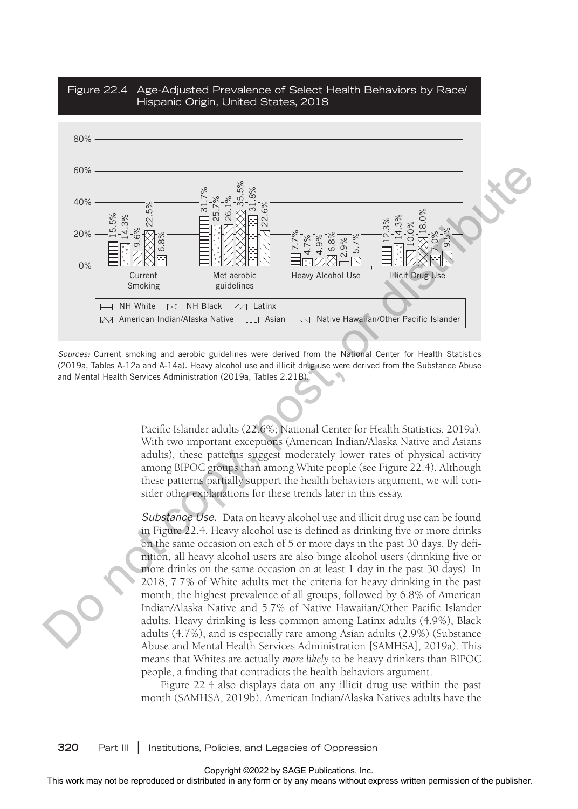

Figure 22.4 Age-Adjusted Prevalence of Select Health Behaviors by Race/ Hispanic Origin, United States, 2018

*Sources:* Current smoking and aerobic guidelines were derived from the National Center for Health Statistics (2019a, Tables A-12a and A-14a). Heavy alcohol use and illicit drug use were derived from the Substance Abuse and Mental Health Services Administration (2019a, Tables 2.21B).

> Pacific Islander adults (22.6%; National Center for Health Statistics, 2019a). With two important exceptions (American Indian/Alaska Native and Asians adults), these patterns suggest moderately lower rates of physical activity among BIPOC groups than among White people (see Figure 22.4). Although these patterns partially support the health behaviors argument, we will consider other explanations for these trends later in this essay.

> *Substance Use.* Data on heavy alcohol use and illicit drug use can be found in Figure 22.4. Heavy alcohol use is defined as drinking five or more drinks on the same occasion on each of 5 or more days in the past 30 days. By definition, all heavy alcohol users are also binge alcohol users (drinking five or more drinks on the same occasion on at least 1 day in the past 30 days). In 2018, 7.7% of White adults met the criteria for heavy drinking in the past month, the highest prevalence of all groups, followed by 6.8% of American Indian/Alaska Native and 5.7% of Native Hawaiian/Other Pacific Islander adults. Heavy drinking is less common among Latinx adults (4.9%), Black adults (4.7%), and is especially rare among Asian adults (2.9%) (Substance Abuse and Mental Health Services Administration [SAMHSA], 2019a). This means that Whites are actually *more likely* to be heavy drinkers than BIPOC people, a finding that contradicts the health behaviors argument.

> Figure 22.4 also displays data on any illicit drug use within the past month (SAMHSA, 2019b). American Indian/Alaska Natives adults have the

**320** Part III **|** Institutions, Policies, and Legacies of Oppression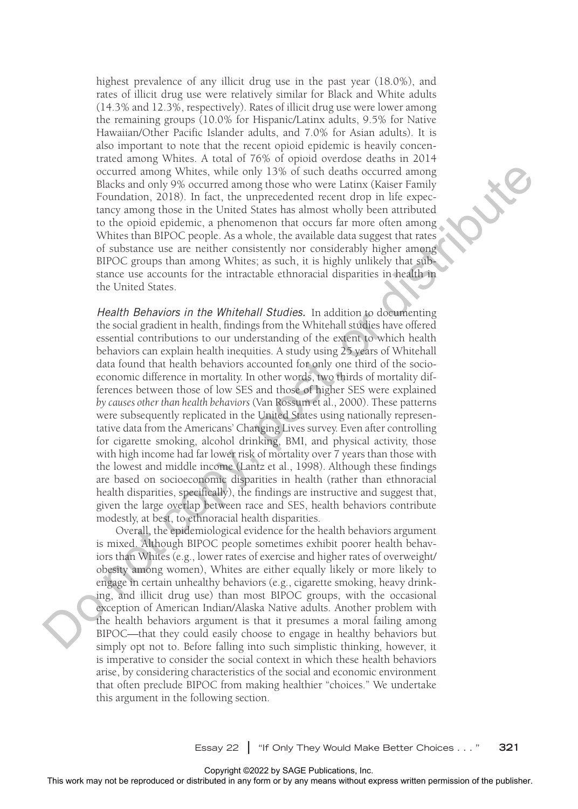highest prevalence of any illicit drug use in the past year (18.0%), and rates of illicit drug use were relatively similar for Black and White adults (14.3% and 12.3%, respectively). Rates of illicit drug use were lower among the remaining groups (10.0% for Hispanic/Latinx adults, 9.5% for Native Hawaiian/Other Pacific Islander adults, and 7.0% for Asian adults). It is also important to note that the recent opioid epidemic is heavily concentrated among Whites. A total of 76% of opioid overdose deaths in 2014 occurred among Whites, while only 13% of such deaths occurred among Blacks and only 9% occurred among those who were Latinx (Kaiser Family Foundation, 2018). In fact, the unprecedented recent drop in life expectancy among those in the United States has almost wholly been attributed to the opioid epidemic, a phenomenon that occurs far more often among Whites than BIPOC people. As a whole, the available data suggest that rates of substance use are neither consistently nor considerably higher among BIPOC groups than among Whites; as such, it is highly unlikely that substance use accounts for the intractable ethnoracial disparities in health in the United States.

*Health Behaviors in the Whitehall Studies.* In addition to documenting the social gradient in health, findings from the Whitehall studies have offered essential contributions to our understanding of the extent to which health behaviors can explain health inequities. A study using 25 years of Whitehall data found that health behaviors accounted for only one third of the socioeconomic difference in mortality. In other words, two thirds of mortality differences between those of low SES and those of higher SES were explained *by causes other than health behaviors* (Van Rossum et al., 2000). These patterns were subsequently replicated in the United States using nationally representative data from the Americans' Changing Lives survey. Even after controlling for cigarette smoking, alcohol drinking, BMI, and physical activity, those with high income had far lower risk of mortality over 7 years than those with the lowest and middle income (Lantz et al., 1998). Although these findings are based on socioeconomic disparities in health (rather than ethnoracial health disparities, specifically), the findings are instructive and suggest that, given the large overlap between race and SES, health behaviors contribute modestly, at best, to ethnoracial health disparities. Counter aroms (are well as the reproduced or control aroms with the publisher counter or the reproduced or the reproduced or the reproduced in all the reproduced in a strict the means when the reproduced in a strict the

Overall, the epidemiological evidence for the health behaviors argument is mixed. Although BIPOC people sometimes exhibit poorer health behaviors than Whites (e.g., lower rates of exercise and higher rates of overweight/ obesity among women), Whites are either equally likely or more likely to engage in certain unhealthy behaviors (e.g., cigarette smoking, heavy drinking, and illicit drug use) than most BIPOC groups, with the occasional exception of American Indian/Alaska Native adults. Another problem with the health behaviors argument is that it presumes a moral failing among BIPOC—that they could easily choose to engage in healthy behaviors but simply opt not to. Before falling into such simplistic thinking, however, it is imperative to consider the social context in which these health behaviors arise, by considering characteristics of the social and economic environment that often preclude BIPOC from making healthier "choices." We undertake this argument in the following section.

Essay 22 **|** "If Only They Would Make Better Choices . . . " **321**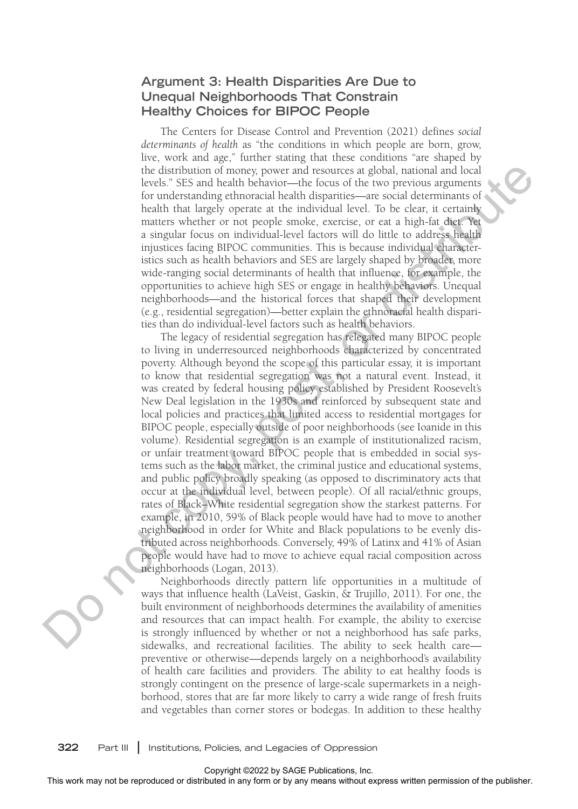#### **Argument 3: Health Disparities Are Due to Unequal Neighborhoods That Constrain Healthy Choices for BIPOC People**

The Centers for Disease Control and Prevention (2021) defines *social determinants of health* as "the conditions in which people are born, grow, live, work and age," further stating that these conditions "are shaped by the distribution of money, power and resources at global, national and local levels." SES and health behavior—the focus of the two previous arguments for understanding ethnoracial health disparities—are social determinants of health that largely operate at the individual level. To be clear, it certainly matters whether or not people smoke, exercise, or eat a high-fat diet. Yet a singular focus on individual-level factors will do little to address health injustices facing BIPOC communities. This is because individual characteristics such as health behaviors and SES are largely shaped by broader, more wide-ranging social determinants of health that influence, for example, the opportunities to achieve high SES or engage in healthy behaviors. Unequal neighborhoods—and the historical forces that shaped their development (e.g., residential segregation)—better explain the ethnoracial health disparities than do individual-level factors such as health behaviors.

The legacy of residential segregation has relegated many BIPOC people to living in underresourced neighborhoods characterized by concentrated poverty. Although beyond the scope of this particular essay, it is important to know that residential segregation was not a natural event. Instead, it was created by federal housing policy established by President Roosevelt's New Deal legislation in the 1930s and reinforced by subsequent state and local policies and practices that limited access to residential mortgages for BIPOC people, especially outside of poor neighborhoods (see Ioanide in this volume). Residential segregation is an example of institutionalized racism, or unfair treatment toward BIPOC people that is embedded in social systems such as the labor market, the criminal justice and educational systems, and public policy broadly speaking (as opposed to discriminatory acts that occur at the individual level, between people). Of all racial/ethnic groups, rates of Black–White residential segregation show the starkest patterns. For example, in 2010, 59% of Black people would have had to move to another neighborhood in order for White and Black populations to be evenly distributed across neighborhoods. Conversely, 49% of Latinx and 41% of Asian people would have had to move to achieve equal racial composition across neighborhoods (Logan, 2013). the distributed or distributed or distributed or the reproduced based of the reproduced or the reproduced or the reproduced in any form or by any form of the publisher or the publisher. The results with the best determina

Neighborhoods directly pattern life opportunities in a multitude of ways that influence health (LaVeist, Gaskin, & Trujillo, 2011). For one, the built environment of neighborhoods determines the availability of amenities and resources that can impact health. For example, the ability to exercise is strongly influenced by whether or not a neighborhood has safe parks, sidewalks, and recreational facilities. The ability to seek health care preventive or otherwise—depends largely on a neighborhood's availability of health care facilities and providers. The ability to eat healthy foods is strongly contingent on the presence of large-scale supermarkets in a neighborhood, stores that are far more likely to carry a wide range of fresh fruits and vegetables than corner stores or bodegas. In addition to these healthy

**322** Part III **|** Institutions, Policies, and Legacies of Oppression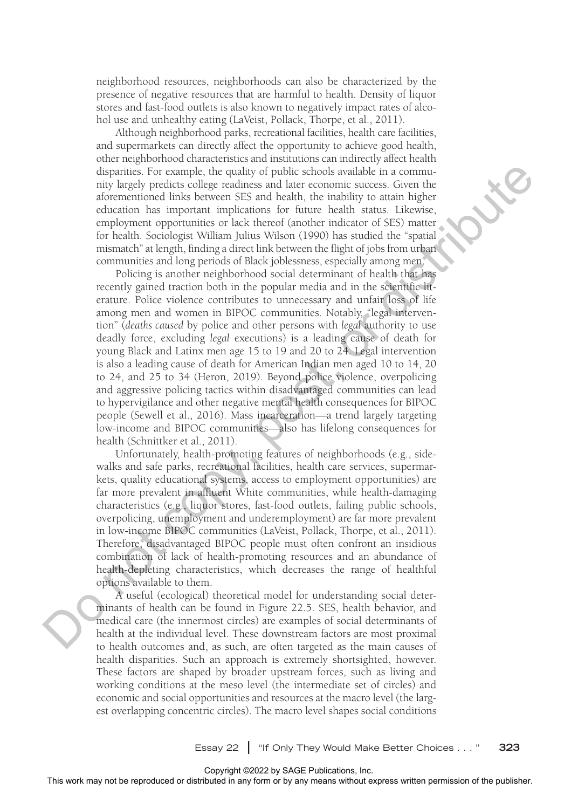neighborhood resources, neighborhoods can also be characterized by the presence of negative resources that are harmful to health. Density of liquor stores and fast-food outlets is also known to negatively impact rates of alcohol use and unhealthy eating (LaVeist, Pollack, Thorpe, et al., 2011).

Although neighborhood parks, recreational facilities, health care facilities, and supermarkets can directly affect the opportunity to achieve good health, other neighborhood characteristics and institutions can indirectly affect health disparities. For example, the quality of public schools available in a community largely predicts college readiness and later economic success. Given the aforementioned links between SES and health, the inability to attain higher education has important implications for future health status. Likewise, employment opportunities or lack thereof (another indicator of SES) matter for health. Sociologist William Julius Wilson (1990) has studied the "spatial mismatch" at length, finding a direct link between the flight of jobs from urban communities and long periods of Black joblessness, especially among men.

Policing is another neighborhood social determinant of health that has recently gained traction both in the popular media and in the scientific literature. Police violence contributes to unnecessary and unfair loss of life among men and women in BIPOC communities. Notably, "legal intervention" (*deaths caused* by police and other persons with *legal* authority to use deadly force, excluding *legal* executions) is a leading cause of death for young Black and Latinx men age 15 to 19 and 20 to 24. Legal intervention is also a leading cause of death for American Indian men aged 10 to 14, 20 to 24, and 25 to 34 (Heron, 2019). Beyond police violence, overpolicing and aggressive policing tactics within disadvantaged communities can lead to hypervigilance and other negative mental health consequences for BIPOC people (Sewell et al., 2016). Mass incarceration—a trend largely targeting low-income and BIPOC communities—also has lifelong consequences for health (Schnittker et al., 2011). degree work may not be reproduced or distributed in a computer contributed in the contributed or distributed in any means the stribute or distributed in a contributed in the model or distributed in a computed or distribut

Unfortunately, health-promoting features of neighborhoods (e.g., sidewalks and safe parks, recreational facilities, health care services, supermarkets, quality educational systems, access to employment opportunities) are far more prevalent in affluent White communities, while health-damaging characteristics (e.g., liquor stores, fast-food outlets, failing public schools, overpolicing, unemployment and underemployment) are far more prevalent in low-income BIPOC communities (LaVeist, Pollack, Thorpe, et al., 2011). Therefore, disadvantaged BIPOC people must often confront an insidious combination of lack of health-promoting resources and an abundance of health-depleting characteristics, which decreases the range of healthful options available to them.

A useful (ecological) theoretical model for understanding social determinants of health can be found in Figure 22.5. SES, health behavior, and medical care (the innermost circles) are examples of social determinants of health at the individual level. These downstream factors are most proximal to health outcomes and, as such, are often targeted as the main causes of health disparities. Such an approach is extremely shortsighted, however. These factors are shaped by broader upstream forces, such as living and working conditions at the meso level (the intermediate set of circles) and economic and social opportunities and resources at the macro level (the largest overlapping concentric circles). The macro level shapes social conditions

Essay 22 **|** "If Only They Would Make Better Choices . . . " **323**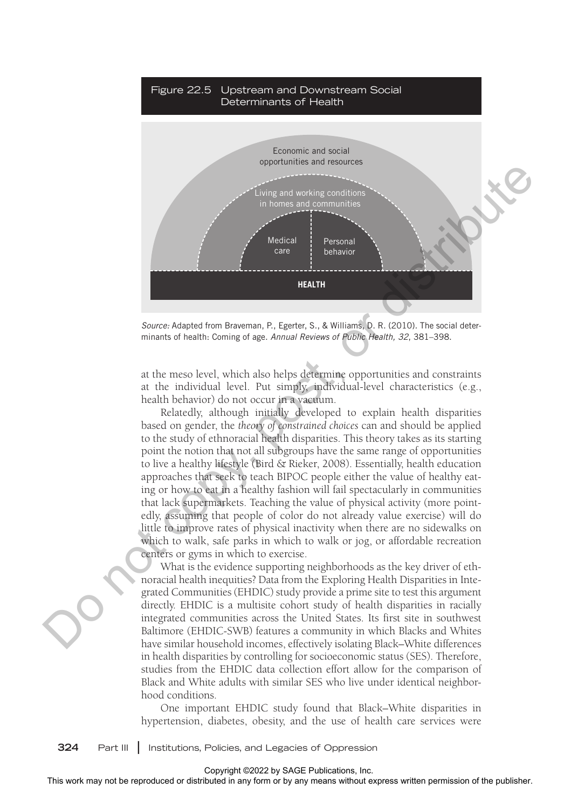

*Source:* Adapted from Braveman, P., Egerter, S., & Williams, D. R. (2010). The social determinants of health: Coming of age. *Annual Reviews of Public Health, 32*, 381–398.

at the meso level, which also helps determine opportunities and constraints at the individual level. Put simply, individual-level characteristics (e.g., health behavior) do not occur in a vacuum.

Relatedly, although initially developed to explain health disparities based on gender, the *theory of constrained choices* can and should be applied to the study of ethnoracial health disparities. This theory takes as its starting point the notion that not all subgroups have the same range of opportunities to live a healthy lifestyle (Bird & Rieker, 2008). Essentially, health education approaches that seek to teach BIPOC people either the value of healthy eating or how to eat in a healthy fashion will fail spectacularly in communities that lack supermarkets. Teaching the value of physical activity (more pointedly, assuming that people of color do not already value exercise) will do little to improve rates of physical inactivity when there are no sidewalks on which to walk, safe parks in which to walk or jog, or affordable recreation centers or gyms in which to exercise.

What is the evidence supporting neighborhoods as the key driver of ethnoracial health inequities? Data from the Exploring Health Disparities in Integrated Communities (EHDIC) study provide a prime site to test this argument directly. EHDIC is a multisite cohort study of health disparities in racially integrated communities across the United States. Its first site in southwest Baltimore (EHDIC-SWB) features a community in which Blacks and Whites have similar household incomes, effectively isolating Black–White differences in health disparities by controlling for socioeconomic status (SES). Therefore, studies from the EHDIC data collection effort allow for the comparison of Black and White adults with similar SES who live under identical neighborhood conditions.

One important EHDIC study found that Black–White disparities in hypertension, diabetes, obesity, and the use of health care services were

**324** Part III **|** Institutions, Policies, and Legacies of Oppression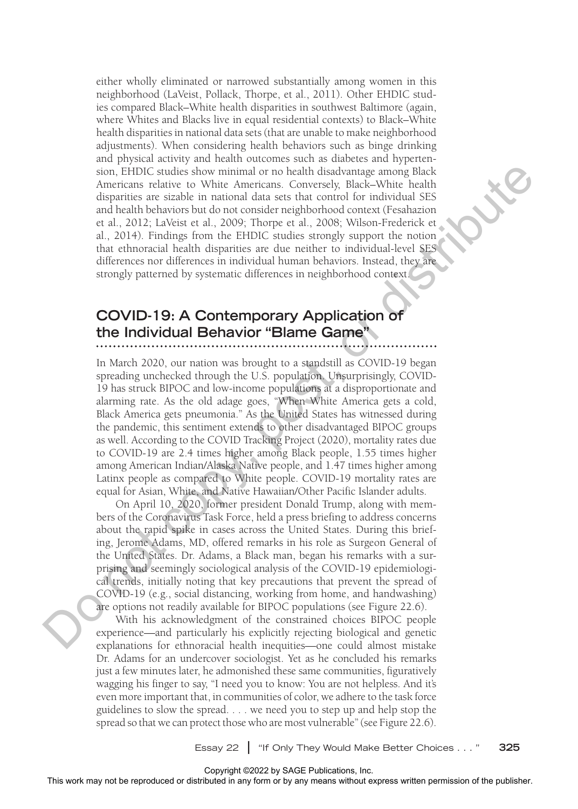either wholly eliminated or narrowed substantially among women in this neighborhood (LaVeist, Pollack, Thorpe, et al., 2011). Other EHDIC studies compared Black–White health disparities in southwest Baltimore (again, where Whites and Blacks live in equal residential contexts) to Black–White health disparities in national data sets (that are unable to make neighborhood adjustments). When considering health behaviors such as binge drinking and physical activity and health outcomes such as diabetes and hypertension, EHDIC studies show minimal or no health disadvantage among Black Americans relative to White Americans. Conversely, Black–White health disparities are sizable in national data sets that control for individual SES and health behaviors but do not consider neighborhood context (Fesahazion et al., 2012; LaVeist et al., 2009; Thorpe et al., 2008; Wilson-Frederick et al., 2014). Findings from the EHDIC studies strongly support the notion that ethnoracial health disparities are due neither to individual-level SES differences nor differences in individual human behaviors. Instead, they are strongly patterned by systematic differences in neighborhood context.

## **COVID-19: A Contemporary Application of the Individual Behavior "Blame Game"**

In March 2020, our nation was brought to a standstill as COVID-19 began spreading unchecked through the U.S. population. Unsurprisingly, COVID-19 has struck BIPOC and low-income populations at a disproportionate and alarming rate. As the old adage goes, "When White America gets a cold, Black America gets pneumonia." As the United States has witnessed during the pandemic, this sentiment extends to other disadvantaged BIPOC groups as well. According to the COVID Tracking Project (2020), mortality rates due to COVID-19 are 2.4 times higher among Black people, 1.55 times higher among American Indian/Alaska Native people, and 1.47 times higher among Latinx people as compared to White people. COVID-19 mortality rates are equal for Asian, White, and Native Hawaiian/Other Pacific Islander adults. som, Third Costalles Stromagned or the relation distributed in any form or by any form or by any form or by any form or by any means without express the control distribution of the publisher. This means we reproduced in a

On April 10, 2020, former president Donald Trump, along with members of the Coronavirus Task Force, held a press briefing to address concerns about the rapid spike in cases across the United States. During this briefing, Jerome Adams, MD, offered remarks in his role as Surgeon General of the United States. Dr. Adams, a Black man, began his remarks with a surprising and seemingly sociological analysis of the COVID-19 epidemiological trends, initially noting that key precautions that prevent the spread of COVID-19 (e.g., social distancing, working from home, and handwashing) are options not readily available for BIPOC populations (see Figure 22.6).

With his acknowledgment of the constrained choices BIPOC people experience—and particularly his explicitly rejecting biological and genetic explanations for ethnoracial health inequities—one could almost mistake Dr. Adams for an undercover sociologist. Yet as he concluded his remarks just a few minutes later, he admonished these same communities, figuratively wagging his finger to say, "I need you to know: You are not helpless. And it's even more important that, in communities of color, we adhere to the task force guidelines to slow the spread. . . . we need you to step up and help stop the spread so that we can protect those who are most vulnerable" (see Figure 22.6).

Essay 22 **|** "If Only They Would Make Better Choices . . . " **325**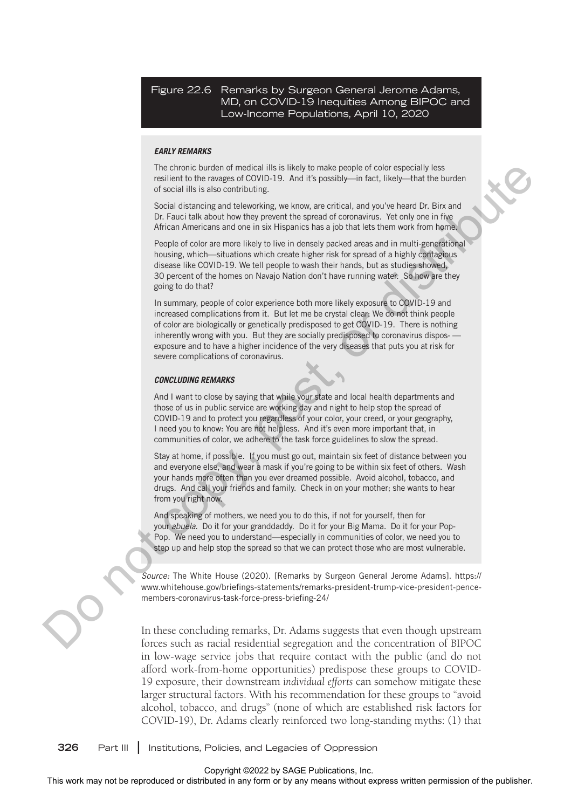Figure 22.6 Remarks by Surgeon General Jerome Adams, MD, on COVID-19 Inequities Among BIPOC and Low-Income Populations, April 10, 2020

#### *EARLY REMARKS*

The chronic burden of medical ills is likely to make people of color especially less resilient to the ravages of COVID-19. And it's possibly—in fact, likely—that the burden of social ills is also contributing.

Social distancing and teleworking, we know, are critical, and you've heard Dr. Birx and Dr. Fauci talk about how they prevent the spread of coronavirus. Yet only one in five African Americans and one in six Hispanics has a job that lets them work from home.

People of color are more likely to live in densely packed areas and in multi-generational housing, which—situations which create higher risk for spread of a highly contagious disease like COVID-19. We tell people to wash their hands, but as studies showed, 30 percent of the homes on Navajo Nation don't have running water. So how are they going to do that?

In summary, people of color experience both more likely exposure to COVID-19 and increased complications from it. But let me be crystal clear: We do not think people of color are biologically or genetically predisposed to get COVID-19. There is nothing inherently wrong with you. But they are socially predisposed to coronavirus dispos-exposure and to have a higher incidence of the very diseases that puts you at risk for severe complications of coronavirus.

#### *CONCLUDING REMARKS*

And I want to close by saying that while your state and local health departments and those of us in public service are working day and night to help stop the spread of COVID-19 and to protect you regardless of your color, your creed, or your geography, I need you to know: You are not helpless. And it's even more important that, in communities of color, we adhere to the task force guidelines to slow the spread.

Stay at home, if possible. If you must go out, maintain six feet of distance between you and everyone else, and wear a mask if you're going to be within six feet of others. Wash your hands more often than you ever dreamed possible. Avoid alcohol, tobacco, and drugs. And call your friends and family. Check in on your mother; she wants to hear from you right now.

And speaking of mothers, we need you to do this, if not for yourself, then for your *abuela*. Do it for your granddaddy. Do it for your Big Mama. Do it for your Pop-Pop. We need you to understand—especially in communities of color, we need you to step up and help stop the spread so that we can protect those who are most vulnerable.

*Source:* The White House (2020). [Remarks by Surgeon General Jerome Adams]. https:// www.whitehouse.gov/briefings-statements/remarks-president-trump-vice-president-pencemembers-coronavirus-task-force-press-briefing-24/

In these concluding remarks, Dr. Adams suggests that even though upstream forces such as racial residential segregation and the concentration of BIPOC in low-wage service jobs that require contact with the public (and do not afford work-from-home opportunities) predispose these groups to COVID-19 exposure, their downstream *individual efforts* can somehow mitigate these larger structural factors. With his recommendation for these groups to "avoid alcohol, tobacco, and drugs" (none of which are established risk factors for COVID-19), Dr. Adams clearly reinforced two long-standing myths: (1) that The choice of the results in any form of the reproduced or distributed in any form or by an interaction or the reproduced or the results and  $\alpha$  and  $\alpha$  and  $\alpha$  and  $\alpha$  and  $\alpha$  and  $\alpha$  and  $\alpha$  any form or by any me

**326** Part III **|** Institutions, Policies, and Legacies of Oppression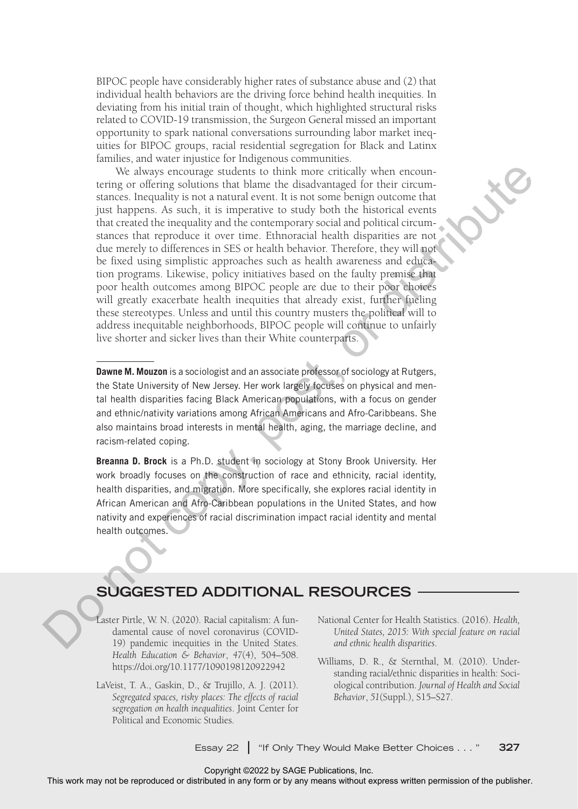BIPOC people have considerably higher rates of substance abuse and (2) that individual health behaviors are the driving force behind health inequities. In deviating from his initial train of thought, which highlighted structural risks related to COVID-19 transmission, the Surgeon General missed an important opportunity to spark national conversations surrounding labor market inequities for BIPOC groups, racial residential segregation for Black and Latinx families, and water injustice for Indigenous communities.

We always encourage students to think more critically when encountering or offering solutions that blame the disadvantaged for their circumstances. Inequality is not a natural event. It is not some benign outcome that just happens. As such, it is imperative to study both the historical events that created the inequality and the contemporary social and political circumstances that reproduce it over time. Ethnoracial health disparities are not due merely to differences in SES or health behavior. Therefore, they will not be fixed using simplistic approaches such as health awareness and education programs. Likewise, policy initiatives based on the faulty premise that poor health outcomes among BIPOC people are due to their poor choices will greatly exacerbate health inequities that already exist, further fueling these stereotypes. Unless and until this country musters the political will to address inequitable neighborhoods, BIPOC people will continue to unfairly live shorter and sicker lives than their White counterparts. We show the transmission was the rest or the representation of the reproduced or the reproduced or the reproduced or the reproduced or the publisher and natural events in any form or buy to different or the publisher. The

**Dawne M. Mouzon** is a sociologist and an associate professor of sociology at Rutgers, the State University of New Jersey. Her work largely focuses on physical and mental health disparities facing Black American populations, with a focus on gender and ethnic/nativity variations among African Americans and Afro-Caribbeans. She also maintains broad interests in mental health, aging, the marriage decline, and racism-related coping.

**Breanna D. Brock** is a Ph.D. student in sociology at Stony Brook University. Her work broadly focuses on the construction of race and ethnicity, racial identity, health disparities, and migration. More specifically, she explores racial identity in African American and Afro-Caribbean populations in the United States, and how nativity and experiences of racial discrimination impact racial identity and mental health outcomes.

### **SUGGESTED ADDITIONAL RESOURCES**

Laster Pirtle, W. N. (2020). Racial capitalism: A fundamental cause of novel coronavirus (COVID-19) pandemic inequities in the United States. *Health Education & Behavior*, *47*(4), 504–508. https://doi.org/10.1177/1090198120922942

- LaVeist, T. A., Gaskin, D., & Trujillo, A. J. (2011). *Segregated spaces, risky places: The effects of racial segregation on health inequalities*. Joint Center for Political and Economic Studies.
- National Center for Health Statistics. (2016). *Health, United States, 2015: With special feature on racial and ethnic health disparities*.
- Williams, D. R., & Sternthal, M. (2010). Understanding racial/ethnic disparities in health: Sociological contribution. *Journal of Health and Social Behavior*, *51*(Suppl.), S15–S27.

Essay 22 **|** "If Only They Would Make Better Choices . . . " **327**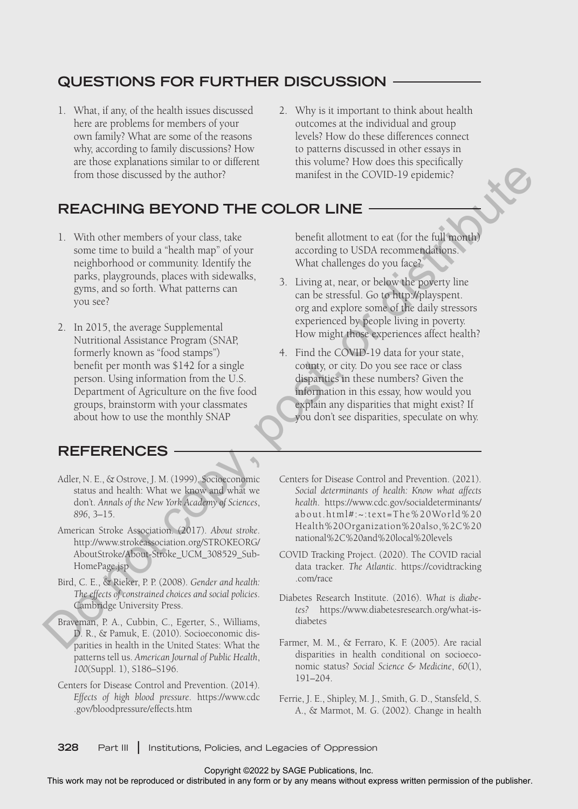## **QUESTIONS FOR FURTHER DISCUSSION**

- 1. What, if any, of the health issues discussed here are problems for members of your own family? What are some of the reasons why, according to family discussions? How are those explanations similar to or different from those discussed by the author?
- 2. Why is it important to think about health outcomes at the individual and group levels? How do these differences connect to patterns discussed in other essays in this volume? How does this specifically manifest in the COVID-19 epidemic?

## **REACHING BEYOND THE COLOR LINE**

- 1. With other members of your class, take some time to build a "health map" of your neighborhood or community. Identify the parks, playgrounds, places with sidewalks, gyms, and so forth. What patterns can you see?
- 2. In 2015, the average Supplemental Nutritional Assistance Program (SNAP, formerly known as "food stamps") benefit per month was \$142 for a single person. Using information from the U.S. Department of Agriculture on the five food groups, brainstorm with your classmates about how to use the monthly SNAP The matrix of the reproduced or distributed in any fit of the representation of the representation of the results of the results of the publisher or distributed or computation of the publisher or distributed or distribute

### **REFERENCES**

- Adler, N. E., & Ostrove, J. M. (1999). Socioeconomic status and health: What we know and what we don't. *Annals of the New York Academy of Sciences*, *896*, 3–15.
- American Stroke Association. (2017). *About stroke*. http://www.strokeassociation.org/STROKEORG/ AboutStroke/About-Stroke\_UCM\_308529\_Sub-HomePage.jsp
- Bird, C. E., & Rieker, P. P. (2008). *Gender and health: The effects of constrained choices and social policies*. Cambridge University Press.
- Braveman, P. A., Cubbin, C., Egerter, S., Williams, D. R., & Pamuk, E. (2010). Socioeconomic disparities in health in the United States: What the patterns tell us. *American Journal of Public Health*, *100*(Suppl. 1), S186–S196.
- Centers for Disease Control and Prevention. (2014). *Effects of high blood pressure*. https://www.cdc .gov/bloodpressure/effects.htm

benefit allotment to eat (for the full month) according to USDA recommendations. What challenges do you face?

- 3. Living at, near, or below the poverty line can be stressful. Go to http://playspent. org and explore some of the daily stressors experienced by people living in poverty. How might those experiences affect health?
- 4. Find the COVID-19 data for your state, county, or city. Do you see race or class disparities in these numbers? Given the information in this essay, how would you explain any disparities that might exist? If you don't see disparities, speculate on why.
- Centers for Disease Control and Prevention. (2021). *Social determinants of health: Know what affects health*. https://www.cdc.gov/socialdeterminants/ about.html#:~:text=The%20World%20 Health%20Organization%20also,%2C%20 national%2C%20and%20local%20levels
- COVID Tracking Project. (2020). The COVID racial data tracker. *The Atlantic*. https://covidtracking .com/race
- Diabetes Research Institute. (2016). *What is diabetes?* https://www.diabetesresearch.org/what-isdiabetes
- Farmer, M. M., & Ferraro, K. F. (2005). Are racial disparities in health conditional on socioeconomic status? *Social Science & Medicine*, *60*(1), 191–204.
- Ferrie, J. E., Shipley, M. J., Smith, G. D., Stansfeld, S. A., & Marmot, M. G. (2002). Change in health

**328** Part III **|** Institutions, Policies, and Legacies of Oppression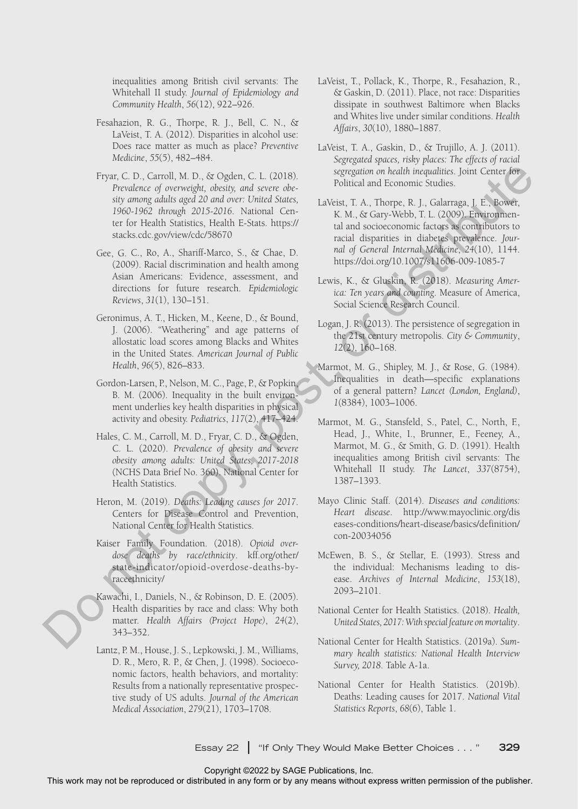inequalities among British civil servants: The Whitehall II study. *Journal of Epidemiology and Community Health*, *56*(12), 922–926.

- Fesahazion, R. G., Thorpe, R. J., Bell, C. N., & LaVeist, T. A. (2012). Disparities in alcohol use: Does race matter as much as place? *Preventive Medicine*, *55*(5), 482–484.
- Fryar, C. D., Carroll, M. D., & Ogden, C. L. (2018). *Prevalence of overweight, obesity, and severe obesity among adults aged 20 and over: United States, 1960-1962 through 2015-2016*. National Center for Health Statistics, Health E-Stats. https:// stacks.cdc.gov/view/cdc/58670
- Gee, G. C., Ro, A., Shariff-Marco, S., & Chae, D. (2009). Racial discrimination and health among Asian Americans: Evidence, assessment, and directions for future research. *Epidemiologic Reviews*, *31*(1), 130–151.
- Geronimus, A. T., Hicken, M., Keene, D., & Bound, J. (2006). "Weathering" and age patterns of allostatic load scores among Blacks and Whites in the United States. *American Journal of Public Health*, *96*(5), 826–833.
- Gordon-Larsen, P., Nelson, M. C., Page, P., & Popkin, B. M. (2006). Inequality in the built environment underlies key health disparities in physical activity and obesity. *Pediatrics*, *117*(2), 417–424.
- Hales, C. M., Carroll, M. D., Fryar, C. D., & Ogden, C. L. (2020). *Prevalence of obesity and severe obesity among adults: United States, 2017-2018* (NCHS Data Brief No. 360). National Center for Health Statistics.
- Heron, M. (2019). *Deaths: Leading causes for 2017*. Centers for Disease Control and Prevention, National Center for Health Statistics.
- Kaiser Family Foundation. (2018). *Opioid overdose deaths by race/ethnicity*. kff.org/other/ state-indicator/opioid-overdose-deaths-byraceethnicity/
- Kawachi, I., Daniels, N., & Robinson, D. E. (2005). Health disparities by race and class: Why both matter. *Health Affairs (Project Hope)*, *24*(2), 343–352.
- Lantz, P. M., House, J. S., Lepkowski, J. M., Williams, D. R., Mero, R. P., & Chen, J. (1998). Socioeconomic factors, health behaviors, and mortality: Results from a nationally representative prospective study of US adults. *Journal of the American Medical Association*, *279*(21), 1703–1708. This work may not be reproduced or distributed in any form or by any means without express written permission of the publisher. Do not copy, post, or distribute
- LaVeist, T., Pollack, K., Thorpe, R., Fesahazion, R., & Gaskin, D. (2011). Place, not race: Disparities dissipate in southwest Baltimore when Blacks and Whites live under similar conditions. *Health Affairs*, *30*(10), 1880–1887.
- LaVeist, T. A., Gaskin, D., & Trujillo, A. J. (2011). *Segregated spaces, risky places: The effects of racial segregation on health inequalities*. Joint Center for Political and Economic Studies.
	- LaVeist, T. A., Thorpe, R. J., Galarraga, J. E., Bower, K. M., & Gary-Webb, T. L. (2009). Environmental and socioeconomic factors as contributors to racial disparities in diabetes prevalence. *Journal of General Internal Medicine*, *24*(10), 1144. https://doi.org/10.1007/s11606-009-1085-7
	- Lewis, K., & Gluskin, R. (2018). *Measuring America: Ten years and counting*. Measure of America, Social Science Research Council.
	- Logan, J. R. (2013). The persistence of segregation in the 21st century metropolis. *City & Community*, *12*(2), 160–168.
	- Marmot, M. G., Shipley, M. J., & Rose, G. (1984). Inequalities in death—specific explanations of a general pattern? *Lancet (London, England)*, *1*(8384), 1003–1006.
	- Marmot, M. G., Stansfeld, S., Patel, C., North, F., Head, J., White, I., Brunner, E., Feeney, A., Marmot, M. G., & Smith, G. D. (1991). Health inequalities among British civil servants: The Whitehall II study. *The Lancet*, *337*(8754), 1387–1393.
	- Mayo Clinic Staff. (2014). *Diseases and conditions: Heart disease*. http://www.mayoclinic.org/dis eases-conditions/heart-disease/basics/definition/ con-20034056
	- McEwen, B. S., & Stellar, E. (1993). Stress and the individual: Mechanisms leading to disease. *Archives of Internal Medicine*, *153*(18), 2093–2101.
	- National Center for Health Statistics. (2018). *Health, United States, 2017: With special feature on mortality*.
	- National Center for Health Statistics. (2019a). *Summary health statistics: National Health Interview Survey, 2018*. Table A-1a.
	- National Center for Health Statistics. (2019b). Deaths: Leading causes for 2017. *National Vital Statistics Reports*, *68*(6), Table 1.

Essay 22 **|** "If Only They Would Make Better Choices . . . " **329**